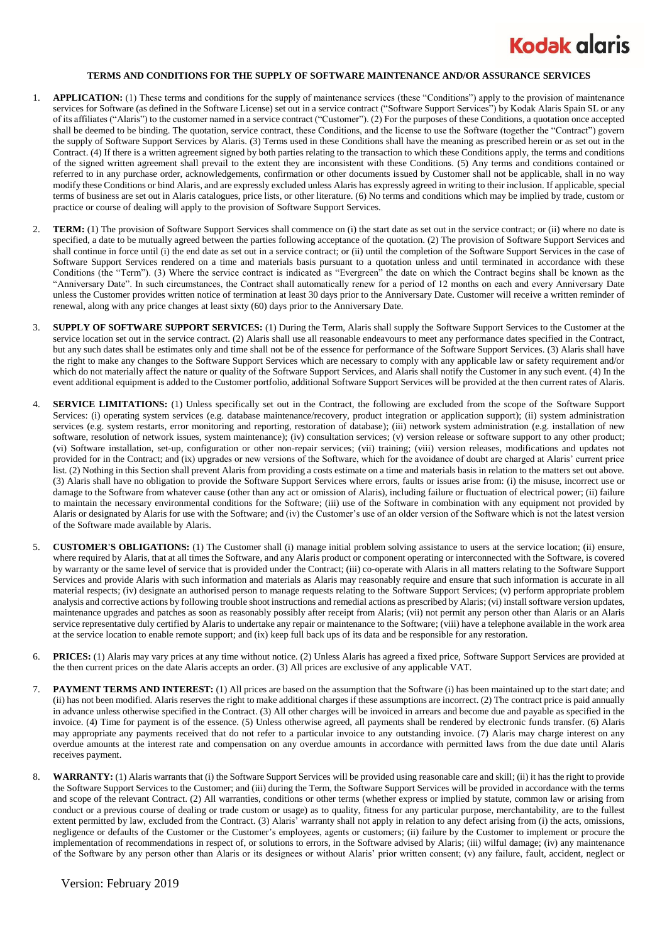## **Kodak glaris**

## **TERMS AND CONDITIONS FOR THE SUPPLY OF SOFTWARE MAINTENANCE AND/OR ASSURANCE SERVICES**

- 1. **APPLICATION:** (1) These terms and conditions for the supply of maintenance services (these "Conditions") apply to the provision of maintenance services for Software (as defined in the Software License) set out in a service contract ("Software Support Services") by Kodak Alaris Spain SL or any of its affiliates ("Alaris") to the customer named in a service contract ("Customer"). (2) For the purposes of these Conditions, a quotation once accepted shall be deemed to be binding. The quotation, service contract, these Conditions, and the license to use the Software (together the "Contract") govern the supply of Software Support Services by Alaris. (3) Terms used in these Conditions shall have the meaning as prescribed herein or as set out in the Contract. (4) If there is a written agreement signed by both parties relating to the transaction to which these Conditions apply, the terms and conditions of the signed written agreement shall prevail to the extent they are inconsistent with these Conditions. (5) Any terms and conditions contained or referred to in any purchase order, acknowledgements, confirmation or other documents issued by Customer shall not be applicable, shall in no way modify these Conditions or bind Alaris, and are expressly excluded unless Alaris has expressly agreed in writing to their inclusion. If applicable, special terms of business are set out in Alaris catalogues, price lists, or other literature. (6) No terms and conditions which may be implied by trade, custom or practice or course of dealing will apply to the provision of Software Support Services.
- 2. **TERM:** (1) The provision of Software Support Services shall commence on (i) the start date as set out in the service contract; or (ii) where no date is specified, a date to be mutually agreed between the parties following acceptance of the quotation. (2) The provision of Software Support Services and shall continue in force until (i) the end date as set out in a service contract; or (ii) until the completion of the Software Support Services in the case of Software Support Services rendered on a time and materials basis pursuant to a quotation unless and until terminated in accordance with these Conditions (the "Term"). (3) Where the service contract is indicated as "Evergreen" the date on which the Contract begins shall be known as the "Anniversary Date". In such circumstances, the Contract shall automatically renew for a period of 12 months on each and every Anniversary Date unless the Customer provides written notice of termination at least 30 days prior to the Anniversary Date. Customer will receive a written reminder of renewal, along with any price changes at least sixty (60) days prior to the Anniversary Date.
- 3. **SUPPLY OF SOFTWARE SUPPORT SERVICES:** (1) During the Term, Alaris shall supply the Software Support Services to the Customer at the service location set out in the service contract. (2) Alaris shall use all reasonable endeavours to meet any performance dates specified in the Contract, but any such dates shall be estimates only and time shall not be of the essence for performance of the Software Support Services. (3) Alaris shall have the right to make any changes to the Software Support Services which are necessary to comply with any applicable law or safety requirement and/or which do not materially affect the nature or quality of the Software Support Services, and Alaris shall notify the Customer in any such event. (4) In the event additional equipment is added to the Customer portfolio, additional Software Support Services will be provided at the then current rates of Alaris.
- 4. **SERVICE LIMITATIONS:** (1) Unless specifically set out in the Contract, the following are excluded from the scope of the Software Support Services: (i) operating system services (e.g. database maintenance/recovery, product integration or application support); (ii) system administration services (e.g. system restarts, error monitoring and reporting, restoration of database); (iii) network system administration (e.g. installation of new software, resolution of network issues, system maintenance); (iv) consultation services; (v) version release or software support to any other product; (vi) Software installation, set-up, configuration or other non-repair services; (vii) training; (viii) version releases, modifications and updates not provided for in the Contract; and (ix) upgrades or new versions of the Software, which for the avoidance of doubt are charged at Alaris' current price list. (2) Nothing in this Section shall prevent Alaris from providing a costs estimate on a time and materials basis in relation to the matters set out above. (3) Alaris shall have no obligation to provide the Software Support Services where errors, faults or issues arise from: (i) the misuse, incorrect use or damage to the Software from whatever cause (other than any act or omission of Alaris), including failure or fluctuation of electrical power; (ii) failure to maintain the necessary environmental conditions for the Software; (iii) use of the Software in combination with any equipment not provided by Alaris or designated by Alaris for use with the Software; and (iv) the Customer's use of an older version of the Software which is not the latest version of the Software made available by Alaris.
- 5. **CUSTOMER'S OBLIGATIONS:** (1) The Customer shall (i) manage initial problem solving assistance to users at the service location; (ii) ensure, where required by Alaris, that at all times the Software, and any Alaris product or component operating or interconnected with the Software, is covered by warranty or the same level of service that is provided under the Contract; (iii) co-operate with Alaris in all matters relating to the Software Support Services and provide Alaris with such information and materials as Alaris may reasonably require and ensure that such information is accurate in all material respects; (iv) designate an authorised person to manage requests relating to the Software Support Services; (v) perform appropriate problem analysis and corrective actions by following trouble shoot instructions and remedial actions as prescribed by Alaris; (vi) install software version updates, maintenance upgrades and patches as soon as reasonably possibly after receipt from Alaris; (vii) not permit any person other than Alaris or an Alaris service representative duly certified by Alaris to undertake any repair or maintenance to the Software; (viii) have a telephone available in the work area at the service location to enable remote support; and (ix) keep full back ups of its data and be responsible for any restoration.
- 6. **PRICES:** (1) Alaris may vary prices at any time without notice. (2) Unless Alaris has agreed a fixed price, Software Support Services are provided at the then current prices on the date Alaris accepts an order. (3) All prices are exclusive of any applicable VAT.
- 7. **PAYMENT TERMS AND INTEREST:** (1) All prices are based on the assumption that the Software (i) has been maintained up to the start date; and (ii) has not been modified. Alaris reserves the right to make additional charges if these assumptions are incorrect. (2) The contract price is paid annually in advance unless otherwise specified in the Contract. (3) All other charges will be invoiced in arrears and become due and payable as specified in the invoice. (4) Time for payment is of the essence. (5) Unless otherwise agreed, all payments shall be rendered by electronic funds transfer. (6) Alaris may appropriate any payments received that do not refer to a particular invoice to any outstanding invoice. (7) Alaris may charge interest on any overdue amounts at the interest rate and compensation on any overdue amounts in accordance with permitted laws from the due date until Alaris receives payment.
- WARRANTY: (1) Alaris warrants that (i) the Software Support Services will be provided using reasonable care and skill; (ii) it has the right to provide the Software Support Services to the Customer; and (iii) during the Term, the Software Support Services will be provided in accordance with the terms and scope of the relevant Contract. (2) All warranties, conditions or other terms (whether express or implied by statute, common law or arising from conduct or a previous course of dealing or trade custom or usage) as to quality, fitness for any particular purpose, merchantability, are to the fullest extent permitted by law, excluded from the Contract. (3) Alaris' warranty shall not apply in relation to any defect arising from (i) the acts, omissions, negligence or defaults of the Customer or the Customer's employees, agents or customers; (ii) failure by the Customer to implement or procure the implementation of recommendations in respect of, or solutions to errors, in the Software advised by Alaris; (iii) wilful damage; (iv) any maintenance of the Software by any person other than Alaris or its designees or without Alaris' prior written consent; (v) any failure, fault, accident, neglect or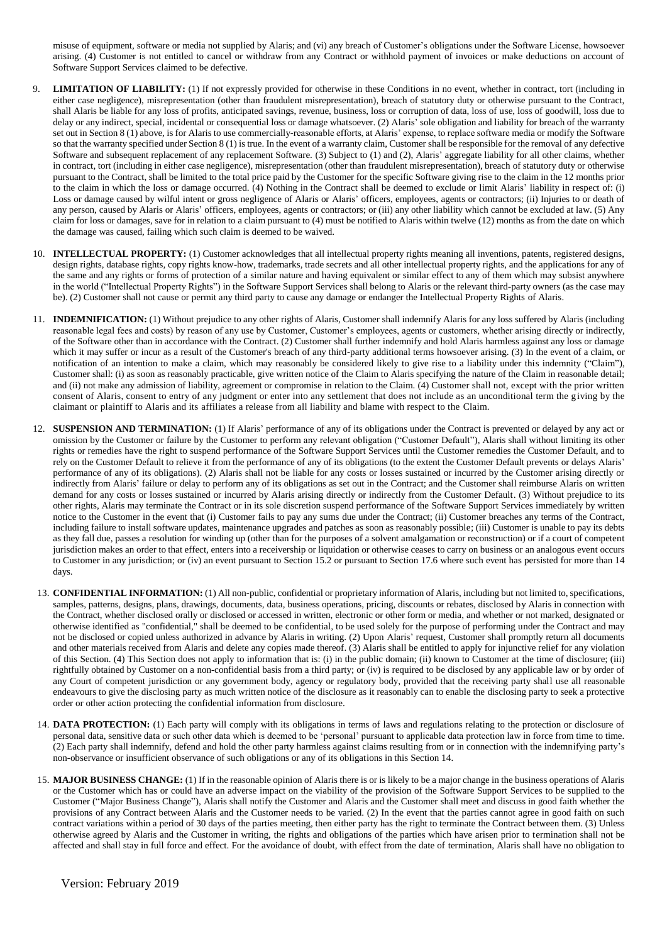misuse of equipment, software or media not supplied by Alaris; and (vi) any breach of Customer's obligations under the Software License, howsoever arising. (4) Customer is not entitled to cancel or withdraw from any Contract or withhold payment of invoices or make deductions on account of Software Support Services claimed to be defective.

- 9. **LIMITATION OF LIABILITY:** (1) If not expressly provided for otherwise in these Conditions in no event, whether in contract, tort (including in either case negligence), misrepresentation (other than fraudulent misrepresentation), breach of statutory duty or otherwise pursuant to the Contract, shall Alaris be liable for any loss of profits, anticipated savings, revenue, business, loss or corruption of data, loss of use, loss of goodwill, loss due to delay or any indirect, special, incidental or consequential loss or damage whatsoever. (2) Alaris' sole obligation and liability for breach of the warranty set out in Section 8 (1) above, is for Alaris to use commercially-reasonable efforts, at Alaris' expense, to replace software media or modify the Software so that the warranty specified under Section 8 (1) is true. In the event of a warranty claim, Customer shall be responsible for the removal of any defective Software and subsequent replacement of any replacement Software. (3) Subject to (1) and (2), Alaris' aggregate liability for all other claims, whether in contract, tort (including in either case negligence), misrepresentation (other than fraudulent misrepresentation), breach of statutory duty or otherwise pursuant to the Contract, shall be limited to the total price paid by the Customer for the specific Software giving rise to the claim in the 12 months prior to the claim in which the loss or damage occurred. (4) Nothing in the Contract shall be deemed to exclude or limit Alaris' liability in respect of: (i) Loss or damage caused by wilful intent or gross negligence of Alaris or Alaris' officers, employees, agents or contractors; (ii) Injuries to or death of any person, caused by Alaris or Alaris' officers, employees, agents or contractors; or (iii) any other liability which cannot be excluded at law. (5) Any claim for loss or damages, save for in relation to a claim pursuant to (4) must be notified to Alaris within twelve (12) months as from the date on which the damage was caused, failing which such claim is deemed to be waived.
- 10. **INTELLECTUAL PROPERTY:** (1) Customer acknowledges that all intellectual property rights meaning all inventions, patents, registered designs, design rights, database rights, copy rights know-how, trademarks, trade secrets and all other intellectual property rights, and the applications for any of the same and any rights or forms of protection of a similar nature and having equivalent or similar effect to any of them which may subsist anywhere in the world ("Intellectual Property Rights") in the Software Support Services shall belong to Alaris or the relevant third-party owners (as the case may be). (2) Customer shall not cause or permit any third party to cause any damage or endanger the Intellectual Property Rights of Alaris.
- 11. **INDEMNIFICATION:** (1) Without prejudice to any other rights of Alaris, Customer shall indemnify Alaris for any loss suffered by Alaris (including reasonable legal fees and costs) by reason of any use by Customer, Customer's employees, agents or customers, whether arising directly or indirectly, of the Software other than in accordance with the Contract. (2) Customer shall further indemnify and hold Alaris harmless against any loss or damage which it may suffer or incur as a result of the Customer's breach of any third-party additional terms howsoever arising. (3) In the event of a claim, or notification of an intention to make a claim, which may reasonably be considered likely to give rise to a liability under this indemnity ("Claim"), Customer shall: (i) as soon as reasonably practicable, give written notice of the Claim to Alaris specifying the nature of the Claim in reasonable detail; and (ii) not make any admission of liability, agreement or compromise in relation to the Claim. (4) Customer shall not, except with the prior written consent of Alaris, consent to entry of any judgment or enter into any settlement that does not include as an unconditional term the g iving by the claimant or plaintiff to Alaris and its affiliates a release from all liability and blame with respect to the Claim.
- 12. **SUSPENSION AND TERMINATION:** (1) If Alaris' performance of any of its obligations under the Contract is prevented or delayed by any act or omission by the Customer or failure by the Customer to perform any relevant obligation ("Customer Default"), Alaris shall without limiting its other rights or remedies have the right to suspend performance of the Software Support Services until the Customer remedies the Customer Default, and to rely on the Customer Default to relieve it from the performance of any of its obligations (to the extent the Customer Default prevents or delays Alaris' performance of any of its obligations). (2) Alaris shall not be liable for any costs or losses sustained or incurred by the Customer arising directly or indirectly from Alaris' failure or delay to perform any of its obligations as set out in the Contract; and the Customer shall reimburse Alaris on written demand for any costs or losses sustained or incurred by Alaris arising directly or indirectly from the Customer Default. (3) Without prejudice to its other rights, Alaris may terminate the Contract or in its sole discretion suspend performance of the Software Support Services immediately by written notice to the Customer in the event that (i) Customer fails to pay any sums due under the Contract; (ii) Customer breaches any terms of the Contract, including failure to install software updates, maintenance upgrades and patches as soon as reasonably possible; (iii) Customer is unable to pay its debts as they fall due, passes a resolution for winding up (other than for the purposes of a solvent amalgamation or reconstruction) or if a court of competent jurisdiction makes an order to that effect, enters into a receivership or liquidation or otherwise ceases to carry on business or an analogous event occurs to Customer in any jurisdiction; or (iv) an event pursuant to Section 15.2 or pursuant to Section 17.6 where such event has persisted for more than 14 days.
- 13. **CONFIDENTIAL INFORMATION:** (1) All non-public, confidential or proprietary information of Alaris, including but not limited to, specifications, samples, patterns, designs, plans, drawings, documents, data, business operations, pricing, discounts or rebates, disclosed by Alaris in connection with the Contract, whether disclosed orally or disclosed or accessed in written, electronic or other form or media, and whether or not marked, designated or otherwise identified as "confidential," shall be deemed to be confidential, to be used solely for the purpose of performing under the Contract and may not be disclosed or copied unless authorized in advance by Alaris in writing. (2) Upon Alaris' request, Customer shall promptly return all documents and other materials received from Alaris and delete any copies made thereof. (3) Alaris shall be entitled to apply for injunctive relief for any violation of this Section. (4) This Section does not apply to information that is: (i) in the public domain; (ii) known to Customer at the time of disclosure; (iii) rightfully obtained by Customer on a non-confidential basis from a third party; or (iv) is required to be disclosed by any applicable law or by order of any Court of competent jurisdiction or any government body, agency or regulatory body, provided that the receiving party shall use all reasonable endeavours to give the disclosing party as much written notice of the disclosure as it reasonably can to enable the disclosing party to seek a protective order or other action protecting the confidential information from disclosure.
- 14. **DATA PROTECTION:** (1) Each party will comply with its obligations in terms of laws and regulations relating to the protection or disclosure of personal data, sensitive data or such other data which is deemed to be 'personal' pursuant to applicable data protection law in force from time to time. (2) Each party shall indemnify, defend and hold the other party harmless against claims resulting from or in connection with the indemnifying party's non-observance or insufficient observance of such obligations or any of its obligations in this Section 14.
- 15. **MAJOR BUSINESS CHANGE:** (1) If in the reasonable opinion of Alaris there is or is likely to be a major change in the business operations of Alaris or the Customer which has or could have an adverse impact on the viability of the provision of the Software Support Services to be supplied to the Customer ("Major Business Change"), Alaris shall notify the Customer and Alaris and the Customer shall meet and discuss in good faith whether the provisions of any Contract between Alaris and the Customer needs to be varied. (2) In the event that the parties cannot agree in good faith on such contract variations within a period of 30 days of the parties meeting, then either party has the right to terminate the Contract between them. (3) Unless otherwise agreed by Alaris and the Customer in writing, the rights and obligations of the parties which have arisen prior to termination shall not be affected and shall stay in full force and effect. For the avoidance of doubt, with effect from the date of termination, Alaris shall have no obligation to